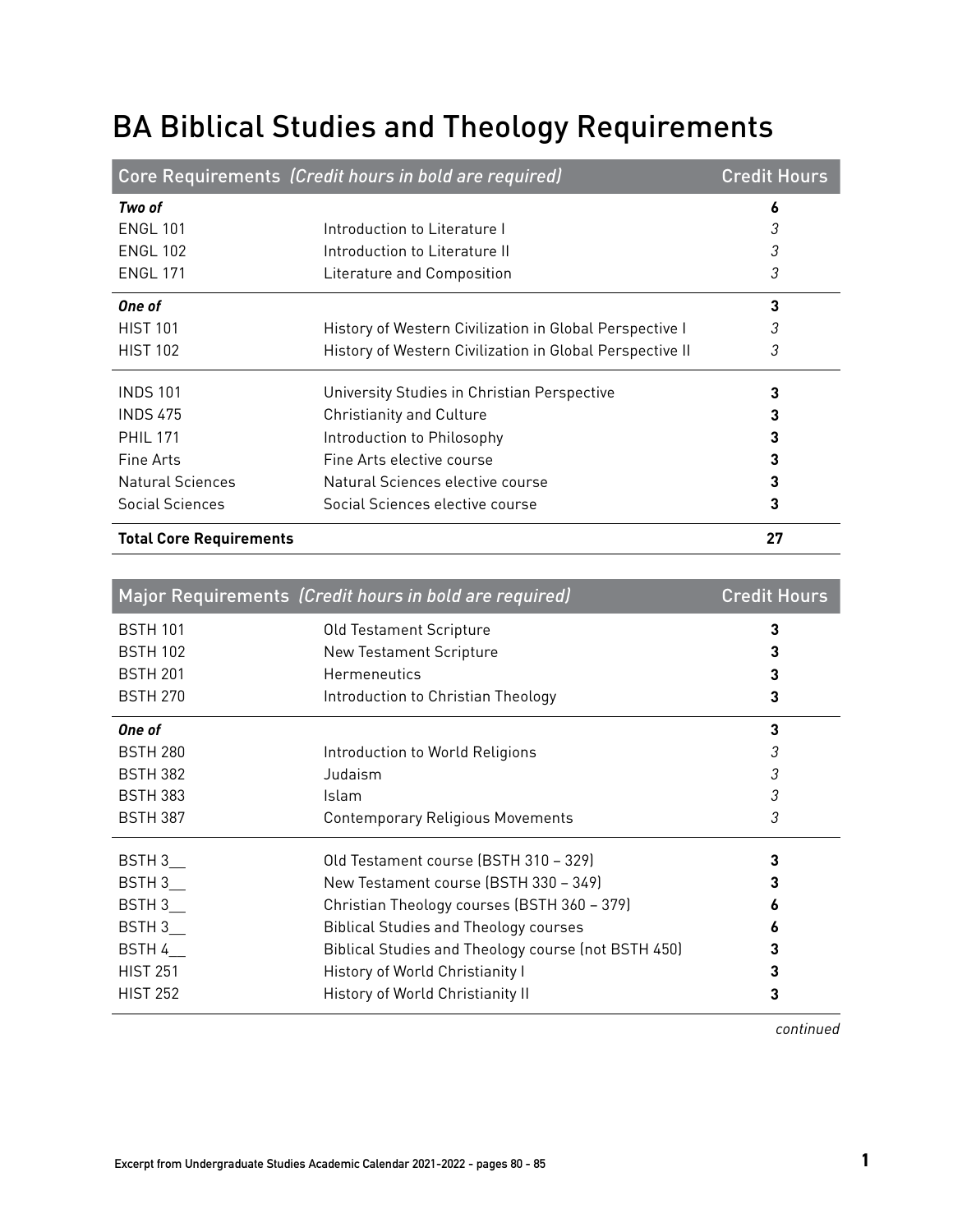## BA Biblical Studies and Theology Requirements

|                                | Core Requirements (Credit hours in bold are required)    | <b>Credit Hours</b> |
|--------------------------------|----------------------------------------------------------|---------------------|
| Two of                         |                                                          | 6                   |
| <b>ENGL 101</b>                | Introduction to Literature I                             | 3                   |
| <b>ENGL 102</b>                | Introduction to Literature II                            | 3                   |
| <b>ENGL 171</b>                | Literature and Composition                               | 3                   |
| One of                         |                                                          | 3                   |
| <b>HIST 101</b>                | History of Western Civilization in Global Perspective I  | 3                   |
| <b>HIST 102</b>                | History of Western Civilization in Global Perspective II | 3                   |
| <b>INDS 101</b>                | University Studies in Christian Perspective              | 3                   |
| <b>INDS 475</b>                | <b>Christianity and Culture</b>                          | 3                   |
| <b>PHIL 171</b>                | Introduction to Philosophy                               | 3                   |
| Fine Arts                      | Fine Arts elective course                                | 3                   |
| <b>Natural Sciences</b>        | Natural Sciences elective course                         | 3                   |
| <b>Social Sciences</b>         | Social Sciences elective course                          | 3                   |
| <b>Total Core Requirements</b> |                                                          | 27                  |

|                 | Major Requirements (Credit hours in bold are required) | <b>Credit Hours</b> |
|-----------------|--------------------------------------------------------|---------------------|
| <b>BSTH 101</b> | Old Testament Scripture                                | 3                   |
| <b>BSTH 102</b> | <b>New Testament Scripture</b>                         |                     |
| <b>BSTH 201</b> | Hermeneutics                                           |                     |
| <b>BSTH 270</b> | Introduction to Christian Theology                     | 3                   |
| One of          |                                                        | 3                   |
| <b>BSTH 280</b> | Introduction to World Religions                        | 3                   |
| <b>BSTH 382</b> | Judaism                                                | 3                   |
| <b>BSTH 383</b> | Islam                                                  | 3                   |
| <b>BSTH 387</b> | <b>Contemporary Religious Movements</b>                | 3                   |
| BSTH 3          | Old Testament course (BSTH 310 - 329)                  | 3                   |
| BSTH 3          | New Testament course (BSTH 330 - 349)                  |                     |
| BSTH 3          | Christian Theology courses (BSTH 360 - 379)            |                     |
| BSTH 3          | <b>Biblical Studies and Theology courses</b>           |                     |
| BSTH 4          | Biblical Studies and Theology course (not BSTH 450)    |                     |
| <b>HIST 251</b> | History of World Christianity I                        |                     |
| <b>HIST 252</b> | History of World Christianity II                       |                     |

*continued*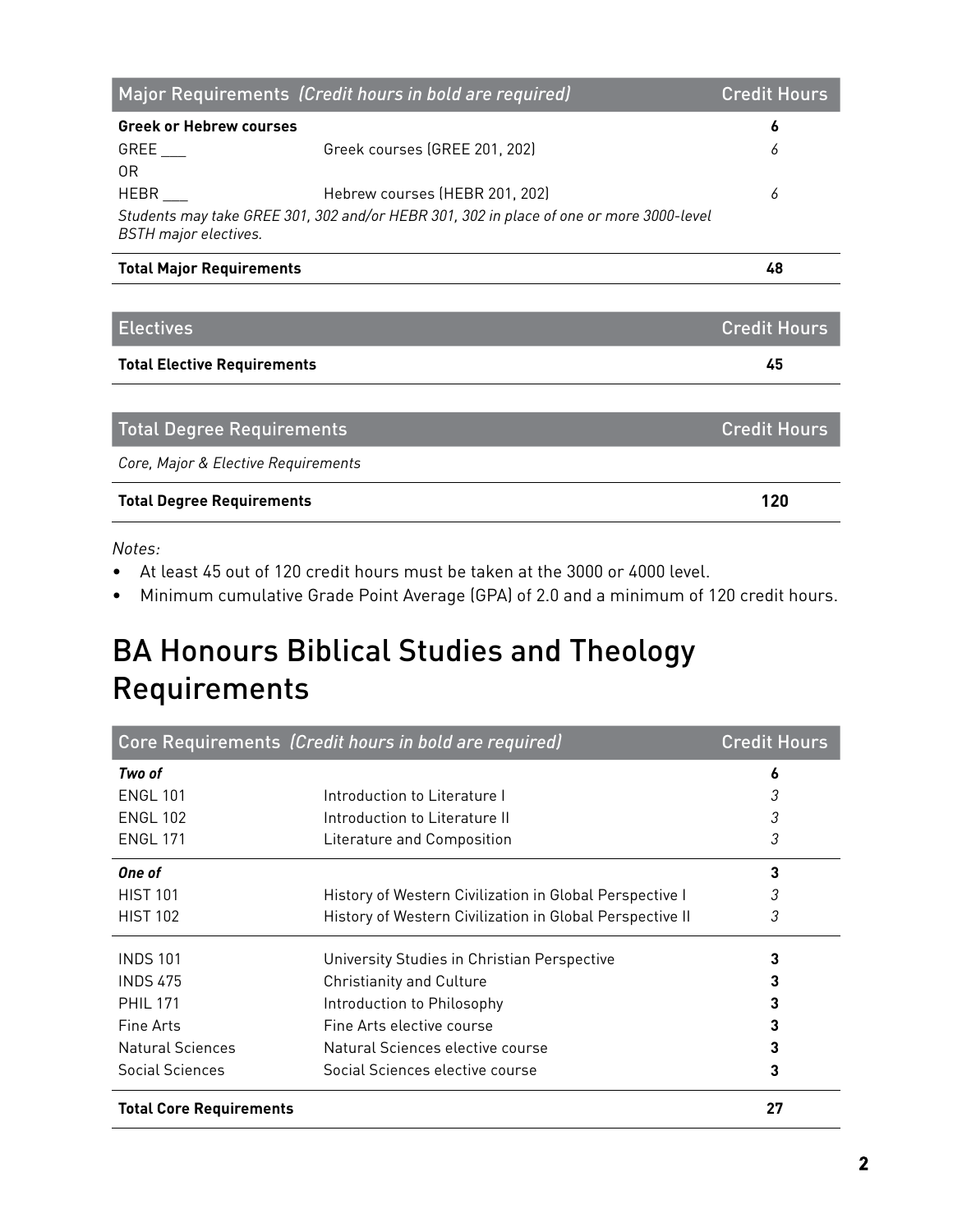|                                     | Major Requirements (Credit hours in bold are required)                                  | <b>Credit Hours</b> |
|-------------------------------------|-----------------------------------------------------------------------------------------|---------------------|
| <b>Greek or Hebrew courses</b>      |                                                                                         | 6                   |
| GREE                                | Greek courses (GREE 201, 202)                                                           | 6                   |
| 0R                                  |                                                                                         |                     |
| HEBR                                | Hebrew courses (HEBR 201, 202)                                                          | 6                   |
| <b>BSTH</b> major electives.        | Students may take GREE 301, 302 and/or HEBR 301, 302 in place of one or more 3000-level |                     |
| <b>Total Major Requirements</b>     |                                                                                         | 48                  |
|                                     |                                                                                         |                     |
| <b>Electives</b>                    |                                                                                         | <b>Credit Hours</b> |
| <b>Total Elective Requirements</b>  |                                                                                         | 45                  |
|                                     |                                                                                         |                     |
| <b>Total Degree Requirements</b>    |                                                                                         | <b>Credit Hours</b> |
| Core, Major & Elective Requirements |                                                                                         |                     |
| <b>Total Degree Requirements</b>    |                                                                                         | 120                 |

*Notes:*

- At least 45 out of 120 credit hours must be taken at the 3000 or 4000 level.
- Minimum cumulative Grade Point Average (GPA) of 2.0 and a minimum of 120 credit hours.

## BA Honours Biblical Studies and Theology Requirements

|                                | Core Requirements (Credit hours in bold are required)    | <b>Credit Hours</b> |
|--------------------------------|----------------------------------------------------------|---------------------|
| Two of                         |                                                          | 6                   |
| <b>ENGL 101</b>                | Introduction to Literature I                             | 3                   |
| <b>ENGL 102</b>                | Introduction to Literature II                            | 3                   |
| <b>ENGL 171</b>                | Literature and Composition                               | 3                   |
| One of                         |                                                          | 3                   |
| <b>HIST 101</b>                | History of Western Civilization in Global Perspective I  | 3                   |
| <b>HIST 102</b>                | History of Western Civilization in Global Perspective II | 3                   |
| <b>INDS 101</b>                | University Studies in Christian Perspective              | 3                   |
| <b>INDS 475</b>                | <b>Christianity and Culture</b>                          | 3                   |
| <b>PHIL 171</b>                | Introduction to Philosophy                               |                     |
| Fine Arts                      | Fine Arts elective course                                | 3                   |
| <b>Natural Sciences</b>        | Natural Sciences elective course                         |                     |
| Social Sciences                | Social Sciences elective course                          | 3                   |
| <b>Total Core Requirements</b> |                                                          | 27                  |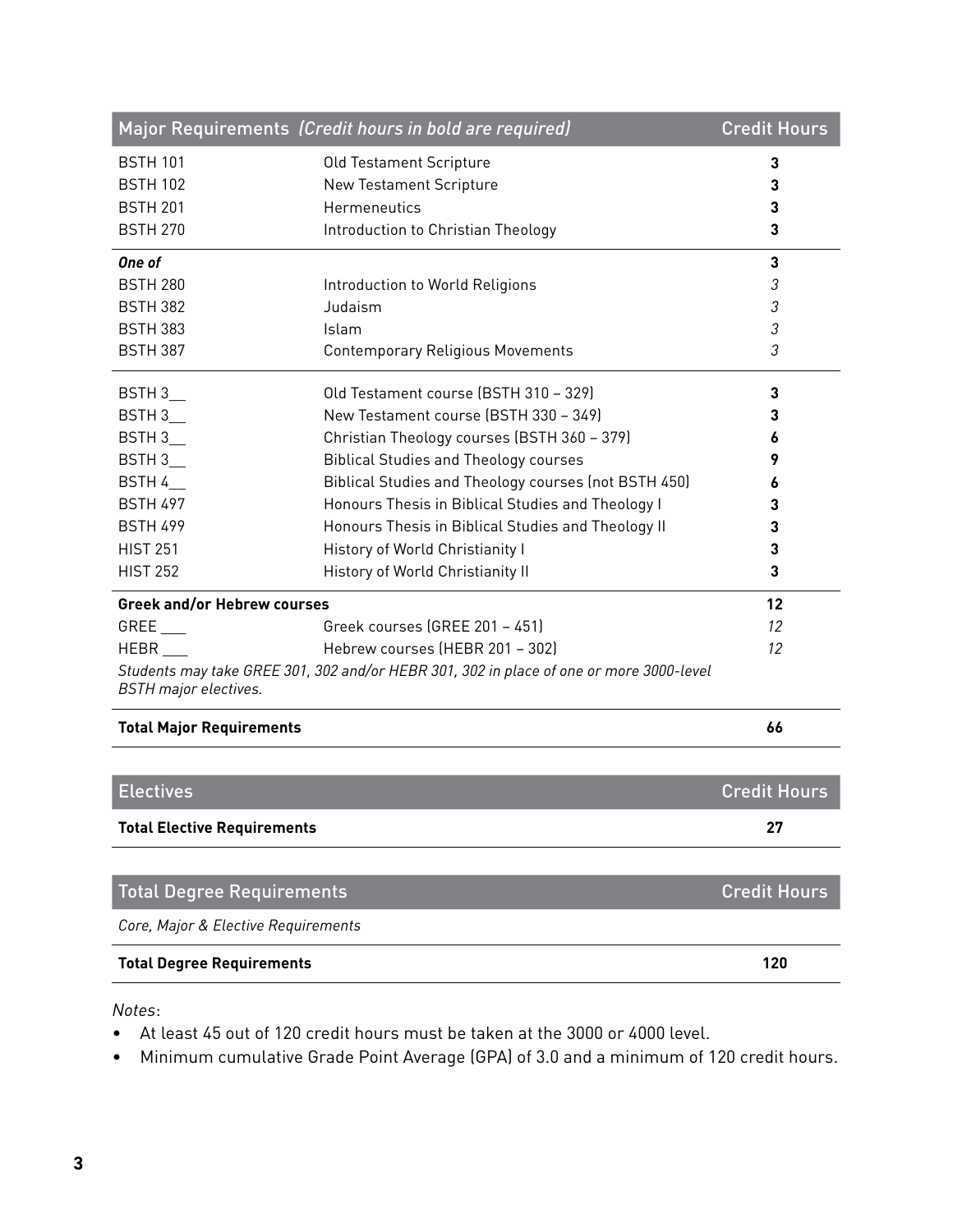|                                     | Major Requirements (Credit hours in bold are required)                                  | <b>Credit Hours</b> |
|-------------------------------------|-----------------------------------------------------------------------------------------|---------------------|
| <b>BSTH 101</b>                     | Old Testament Scripture                                                                 | 3                   |
| <b>BSTH 102</b>                     | New Testament Scripture                                                                 | 3                   |
| <b>BSTH 201</b>                     | Hermeneutics                                                                            | 3                   |
| <b>BSTH 270</b>                     | Introduction to Christian Theology                                                      | 3                   |
| One of                              |                                                                                         | 3                   |
| <b>BSTH 280</b>                     | Introduction to World Religions                                                         | 3                   |
| <b>BSTH 382</b>                     | Judaism                                                                                 | 3                   |
| <b>BSTH 383</b>                     | Islam                                                                                   | 3                   |
| <b>BSTH 387</b>                     | <b>Contemporary Religious Movements</b>                                                 | 3                   |
| BSTH 3                              | Old Testament course (BSTH 310 - 329)                                                   | 3                   |
| BSTH 3                              | New Testament course (BSTH 330 - 349)                                                   | 3                   |
| BSTH 3                              | Christian Theology courses (BSTH 360 - 379)                                             |                     |
| BSTH 3                              | <b>Biblical Studies and Theology courses</b>                                            | 9                   |
| BSTH 4                              | Biblical Studies and Theology courses (not BSTH 450)                                    | 6                   |
| <b>BSTH 497</b>                     | Honours Thesis in Biblical Studies and Theology I                                       | 3                   |
| <b>BSTH 499</b>                     | Honours Thesis in Biblical Studies and Theology II                                      | 3                   |
| <b>HIST 251</b>                     | History of World Christianity I                                                         | 3                   |
| <b>HIST 252</b>                     | History of World Christianity II                                                        | 3                   |
| <b>Greek and/or Hebrew courses</b>  |                                                                                         | 12                  |
| GREE                                | Greek courses (GREE 201 - 451)                                                          | 12                  |
| HEBR                                | Hebrew courses (HEBR 201 - 302)                                                         | 12                  |
| <b>BSTH</b> major electives.        | Students may take GREE 301, 302 and/or HEBR 301, 302 in place of one or more 3000-level |                     |
| <b>Total Major Requirements</b>     |                                                                                         | 66                  |
|                                     |                                                                                         |                     |
| <b>Electives</b>                    |                                                                                         | <b>Credit Hours</b> |
| <b>Total Elective Requirements</b>  |                                                                                         | 27                  |
|                                     |                                                                                         |                     |
| <b>Total Degree Requirements</b>    |                                                                                         | <b>Credit Hours</b> |
| Core, Major & Elective Requirements |                                                                                         |                     |
| <b>Total Degree Requirements</b>    |                                                                                         | 120                 |

*Notes*:

- At least 45 out of 120 credit hours must be taken at the 3000 or 4000 level.
- Minimum cumulative Grade Point Average (GPA) of 3.0 and a minimum of 120 credit hours.